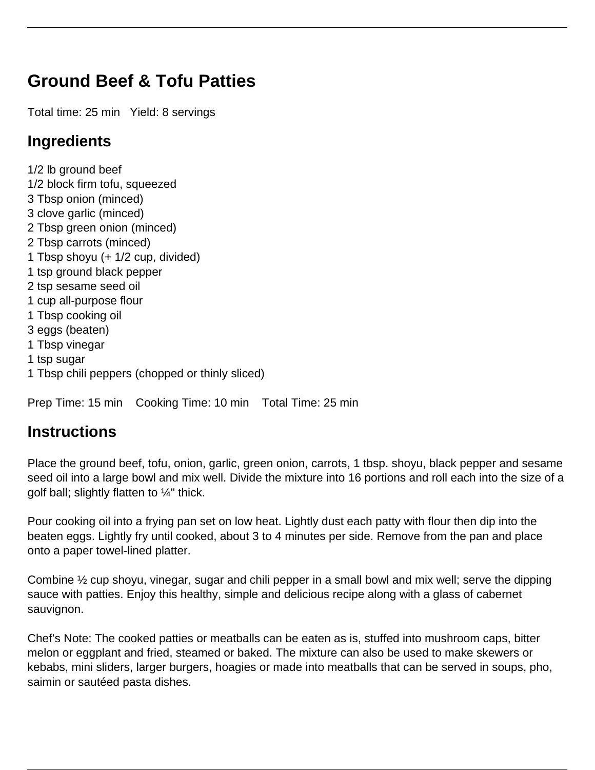## **Ground Beef & Tofu Patties**

Total time: 25 min Yield: 8 servings

## **Ingredients**

1/2 lb ground beef 1/2 block firm tofu, squeezed 3 Tbsp onion (minced) 3 clove garlic (minced) 2 Tbsp green onion (minced) 2 Tbsp carrots (minced) 1 Tbsp shoyu (+ 1/2 cup, divided) 1 tsp ground black pepper 2 tsp sesame seed oil 1 cup all-purpose flour 1 Tbsp cooking oil 3 eggs (beaten) 1 Tbsp vinegar 1 tsp sugar 1 Tbsp chili peppers (chopped or thinly sliced)

Prep Time: 15 min Cooking Time: 10 min Total Time: 25 min

## **Instructions**

Place the ground beef, tofu, onion, garlic, green onion, carrots, 1 tbsp. shoyu, black pepper and sesame seed oil into a large bowl and mix well. Divide the mixture into 16 portions and roll each into the size of a golf ball; slightly flatten to 1/4" thick.

Pour cooking oil into a frying pan set on low heat. Lightly dust each patty with flour then dip into the beaten eggs. Lightly fry until cooked, about 3 to 4 minutes per side. Remove from the pan and place onto a paper towel-lined platter.

Combine ½ cup shoyu, vinegar, sugar and chili pepper in a small bowl and mix well; serve the dipping sauce with patties. Enjoy this healthy, simple and delicious recipe along with a glass of cabernet sauvignon.

Chef's Note: The cooked patties or meatballs can be eaten as is, stuffed into mushroom caps, bitter melon or eggplant and fried, steamed or baked. The mixture can also be used to make skewers or kebabs, mini sliders, larger burgers, hoagies or made into meatballs that can be served in soups, pho, saimin or sautéed pasta dishes.